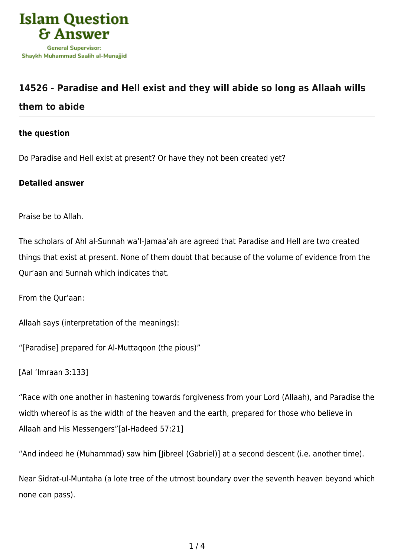

## **[14526 - Paradise and Hell exist and they will abide so long as Allaah wills](https://islamqa.com/en/answers/14526/paradise-and-hell-exist-and-they-will-abide-so-long-as-allaah-wills-them-to-abide) [them to abide](https://islamqa.com/en/answers/14526/paradise-and-hell-exist-and-they-will-abide-so-long-as-allaah-wills-them-to-abide)**

## **the question**

Do Paradise and Hell exist at present? Or have they not been created yet?

## **Detailed answer**

Praise be to Allah.

The scholars of Ahl al-Sunnah wa'l-Jamaa'ah are agreed that Paradise and Hell are two created things that exist at present. None of them doubt that because of the volume of evidence from the Qur'aan and Sunnah which indicates that.

From the Qur'aan:

Allaah says (interpretation of the meanings):

"[Paradise] prepared for Al-Muttaqoon (the pious)"

[Aal 'Imraan 3:133]

"Race with one another in hastening towards forgiveness from your Lord (Allaah), and Paradise the width whereof is as the width of the heaven and the earth, prepared for those who believe in Allaah and His Messengers"[al-Hadeed 57:21]

"And indeed he (Muhammad) saw him [Jibreel (Gabriel)] at a second descent (i.e. another time).

Near Sidrat-ul-Muntaha (a lote tree of the utmost boundary over the seventh heaven beyond which none can pass).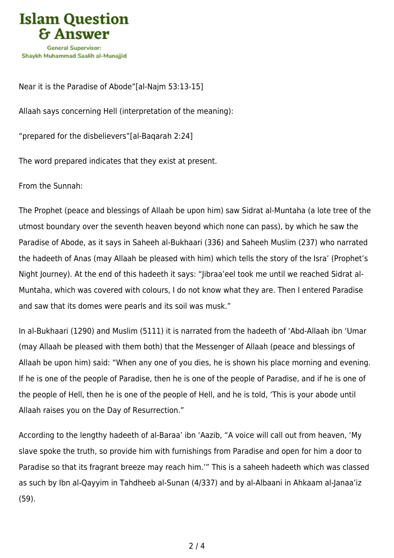

Near it is the Paradise of Abode"[al-Najm 53:13-15]

Allaah says concerning Hell (interpretation of the meaning):

"prepared for the disbelievers"[al-Baqarah 2:24]

The word prepared indicates that they exist at present.

From the Sunnah:

The Prophet (peace and blessings of Allaah be upon him) saw Sidrat al-Muntaha (a lote tree of the utmost boundary over the seventh heaven beyond which none can pass), by which he saw the Paradise of Abode, as it says in Saheeh al-Bukhaari (336) and Saheeh Muslim (237) who narrated the hadeeth of Anas (may Allaah be pleased with him) which tells the story of the Isra' (Prophet's Night Journey). At the end of this hadeeth it says: "Jibraa'eel took me until we reached Sidrat al-Muntaha, which was covered with colours, I do not know what they are. Then I entered Paradise and saw that its domes were pearls and its soil was musk."

In al-Bukhaari (1290) and Muslim (5111) it is narrated from the hadeeth of 'Abd-Allaah ibn 'Umar (may Allaah be pleased with them both) that the Messenger of Allaah (peace and blessings of Allaah be upon him) said: "When any one of you dies, he is shown his place morning and evening. If he is one of the people of Paradise, then he is one of the people of Paradise, and if he is one of the people of Hell, then he is one of the people of Hell, and he is told, 'This is your abode until Allaah raises you on the Day of Resurrection."

According to the lengthy hadeeth of al-Baraa' ibn 'Aazib, "A voice will call out from heaven, 'My slave spoke the truth, so provide him with furnishings from Paradise and open for him a door to Paradise so that its fragrant breeze may reach him.'" This is a saheeh hadeeth which was classed as such by Ibn al-Qayyim in Tahdheeb al-Sunan (4/337) and by al-Albaani in Ahkaam al-Janaa'iz (59).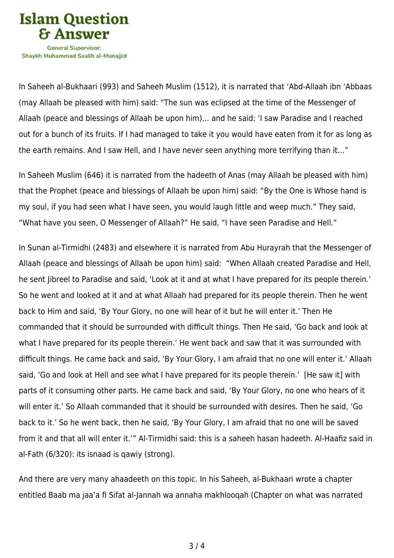

In Saheeh al-Bukhaari (993) and Saheeh Muslim (1512), it is narrated that 'Abd-Allaah ibn 'Abbaas (may Allaah be pleased with him) said: "The sun was eclipsed at the time of the Messenger of Allaah (peace and blessings of Allaah be upon him)… and he said: 'I saw Paradise and I reached out for a bunch of its fruits. If I had managed to take it you would have eaten from it for as long as the earth remains. And I saw Hell, and I have never seen anything more terrifying than it…"

In Saheeh Muslim (646) it is narrated from the hadeeth of Anas (may Allaah be pleased with him) that the Prophet (peace and blessings of Allaah be upon him) said: "By the One is Whose hand is my soul, if you had seen what I have seen, you would laugh little and weep much." They said, "What have you seen, O Messenger of Allaah?" He said, "I have seen Paradise and Hell."

In Sunan al-Tirmidhi (2483) and elsewhere it is narrated from Abu Hurayrah that the Messenger of Allaah (peace and blessings of Allaah be upon him) said: "When Allaah created Paradise and Hell, he sent Jibreel to Paradise and said, 'Look at it and at what I have prepared for its people therein.' So he went and looked at it and at what Allaah had prepared for its people therein. Then he went back to Him and said, 'By Your Glory, no one will hear of it but he will enter it.' Then He commanded that it should be surrounded with difficult things. Then He said, 'Go back and look at what I have prepared for its people therein.' He went back and saw that it was surrounded with difficult things. He came back and said, 'By Your Glory, I am afraid that no one will enter it.' Allaah said, 'Go and look at Hell and see what I have prepared for its people therein.' [He saw it] with parts of it consuming other parts. He came back and said, 'By Your Glory, no one who hears of it will enter it.' So Allaah commanded that it should be surrounded with desires. Then he said, 'Go back to it.' So he went back, then he said, 'By Your Glory, I am afraid that no one will be saved from it and that all will enter it.'" Al-Tirmidhi said: this is a saheeh hasan hadeeth. Al-Haafiz said in al-Fath (6/320): its isnaad is qawiy (strong).

And there are very many ahaadeeth on this topic. In his Saheeh, al-Bukhaari wrote a chapter entitled Baab ma jaa'a fi Sifat al-Jannah wa annaha makhlooqah (Chapter on what was narrated